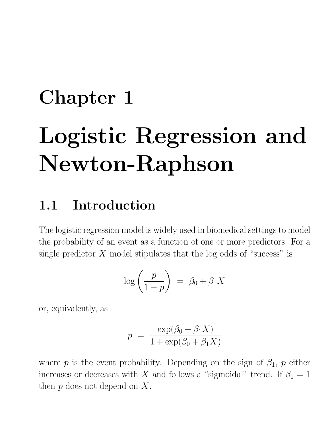# Chapter 1 Logistic Regression and Newton-Raphson

## 1.1 Introduction

The logistic regression model is widely used in biomedical settings to model the probability of an event as a function of one or more predictors. For a single predictor  $X$  model stipulates that the log odds of "success" is

$$
\log\left(\frac{p}{1-p}\right) = \beta_0 + \beta_1 X
$$

or, equivalently, as

$$
p = \frac{\exp(\beta_0 + \beta_1 X)}{1 + \exp(\beta_0 + \beta_1 X)}
$$

where p is the event probability. Depending on the sign of  $\beta_1$ , p either increases or decreases with X and follows a "sigmoidal" trend. If  $\beta_1 = 1$ then  $p$  does not depend on  $X$ .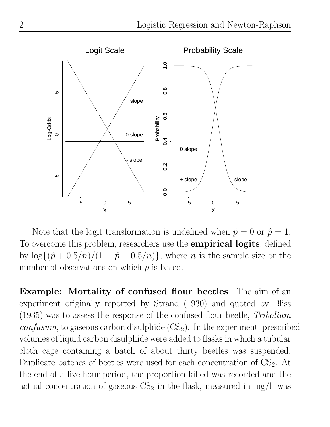

Note that the logit transformation is undefined when  $\hat{p} = 0$  or  $\hat{p} = 1$ . To overcome this problem, researchers use the **empirical logits**, defined by  $\log\{(\hat{p}+0.5/n)/(1-\hat{p}+0.5/n)\}\,$ , where *n* is the sample size or the number of observations on which  $\hat{p}$  is based.

Example: Mortality of confused flour beetles The aim of an experiment originally reported by Strand (1930) and quoted by Bliss (1935) was to assess the response of the confused flour beetle, Tribolium  $confusum$ , to gaseous carbon disulphide  $(CS_2)$ . In the experiment, prescribed volumes of liquid carbon disulphide were added to flasks in which a tubular cloth cage containing a batch of about thirty beetles was suspended. Duplicate batches of beetles were used for each concentration of  $CS<sub>2</sub>$ . At the end of a five-hour period, the proportion killed was recorded and the actual concentration of gaseous  $CS_2$  in the flask, measured in mg/l, was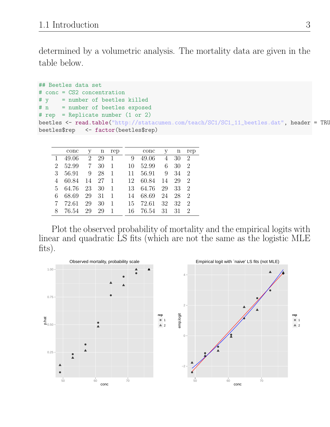determined by a volumetric analysis. The mortality data are given in the table below.

```
## Beetles data set
# conc = CS2 concentration
# y = number of beetles killed
# n = number of beetles exposed
# rep = Replicate number (1 or 2)
beetles <- read.table("http://statacumen.com/teach/SC1/SC1_11_beetles.dat", header = TRU
beetles$rep <- factor(beetles$rep)
```

|             | conc  | V  |    | n rep        |     | conc  | V  |    | n rep         |
|-------------|-------|----|----|--------------|-----|-------|----|----|---------------|
| 1           | 49.06 | 2  | 29 | $\mathbf{1}$ | 9   | 49.06 | 4  | 30 | -2            |
| $2^{\circ}$ | 52.99 | 7  | 30 | 1            | 10  | 52.99 | 6  | 30 | $\mathcal{D}$ |
| 3           | 56.91 | 9  | 28 | $\mathbf{1}$ | 11  | 56.91 | 9  | 34 | - 2           |
| 4           | 60.84 | 14 | 27 | -1           | 12  | 60.84 | 14 | 29 | $\mathcal{D}$ |
| 5.          | 64.76 | 23 | 30 | 1            | 13  | 64.76 | 29 | 33 | - 2           |
| 6           | 68.69 | 29 | 31 | 1            | 14  | 68.69 | 24 | 28 | $\mathcal{D}$ |
|             | 72.61 | 29 | 30 | 1            | 15. | 72.61 | 32 | 32 | $\mathcal{D}$ |
| 8           | 76.54 | 29 | 29 |              | 16  | 76.54 | 31 | 31 | $\mathcal{D}$ |

Plot the observed probability of mortality and the empirical logits with linear and quadratic LS fits (which are not the same as the logistic MLE fits).

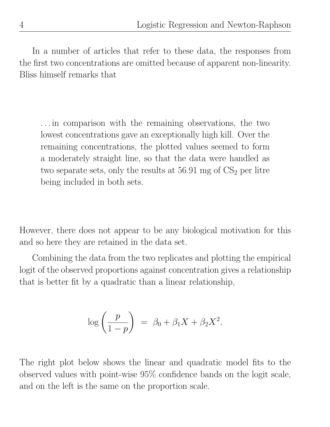In a number of articles that refer to these data, the responses from the first two concentrations are omitted because of apparent non-linearity. Bliss himself remarks that

. . . in comparison with the remaining observations, the two lowest concentrations gave an exceptionally high kill. Over the remaining concentrations, the plotted values seemed to form a moderately straight line, so that the data were handled as two separate sets, only the results at  $56.91$  mg of  $CS<sub>2</sub>$  per litre being included in both sets.

However, there does not appear to be any biological motivation for this and so here they are retained in the data set.

Combining the data from the two replicates and plotting the empirical logit of the observed proportions against concentration gives a relationship that is better fit by a quadratic than a linear relationship,

$$
\log\left(\frac{p}{1-p}\right) = \beta_0 + \beta_1 X + \beta_2 X^2.
$$

The right plot below shows the linear and quadratic model fits to the observed values with point-wise 95% confidence bands on the logit scale, and on the left is the same on the proportion scale.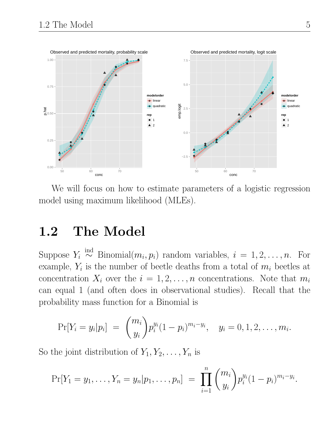

We will focus on how to estimate parameters of a logistic regression model using maximum likelihood (MLEs).

## 1.2 The Model

Suppose  $Y_i \stackrel{\text{ind}}{\sim}$  Binomial $(m_i, p_i)$  random variables,  $i = 1, 2, \ldots, n$ . For example,  $Y_i$  is the number of beetle deaths from a total of  $m_i$  beetles at concentration  $X_i$  over the  $i = 1, 2, ..., n$  concentrations. Note that  $m_i$ can equal 1 (and often does in observational studies). Recall that the probability mass function for a Binomial is

$$
Pr[Y_i = y_i | p_i] = {m_i \choose y_i} p_i^{y_i} (1-p_i)^{m_i-y_i}, \quad y_i = 0, 1, 2, ..., m_i.
$$

So the joint distribution of  $Y_1, Y_2, \ldots, Y_n$  is

$$
\Pr[Y_1 = y_1, \ldots, Y_n = y_n | p_1, \ldots, p_n] = \prod_{i=1}^n \binom{m_i}{y_i} p_i^{y_i} (1-p_i)^{m_i-y_i}.
$$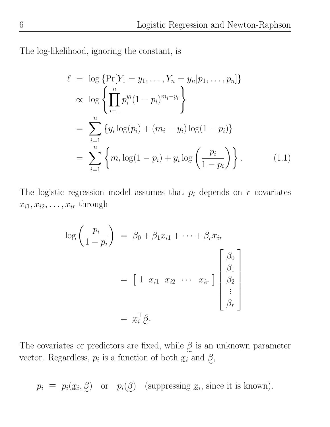The log-likelihood, ignoring the constant, is

$$
\ell = \log \{ \Pr[Y_1 = y_1, \dots, Y_n = y_n | p_1, \dots, p_n] \}
$$
  
\n
$$
\propto \log \left\{ \prod_{i=1}^n p_i^{y_i} (1 - p_i)^{m_i - y_i} \right\}
$$
  
\n
$$
= \sum_{i=1}^n \left\{ y_i \log(p_i) + (m_i - y_i) \log(1 - p_i) \right\}
$$
  
\n
$$
= \sum_{i=1}^n \left\{ m_i \log(1 - p_i) + y_i \log \left( \frac{p_i}{1 - p_i} \right) \right\}.
$$
 (1.1)

The logistic regression model assumes that  $p_i$  depends on r covariates  $x_{i1}, x_{i2}, \ldots, x_{ir}$  through

$$
\log\left(\frac{p_i}{1-p_i}\right) = \beta_0 + \beta_1 x_{i1} + \dots + \beta_r x_{ir}
$$

$$
= \begin{bmatrix} 1 & x_{i1} & x_{i2} & \cdots & x_{ir} \end{bmatrix} \begin{bmatrix} \beta_0 \\ \beta_1 \\ \beta_2 \\ \vdots \\ \beta_r \end{bmatrix}
$$

$$
= x_i^{\top} \beta.
$$

The covariates or predictors are fixed, while  $\beta$  is an unknown parameter vector. Regardless,  $p_i$  is a function of both  $x_i$  and  $\beta$ ,

 $p_i \equiv p_i(\mathfrak{X}_i, \beta)$  or  $p_i(\beta)$  (suppressing  $\mathfrak{X}_i$ , since it is known).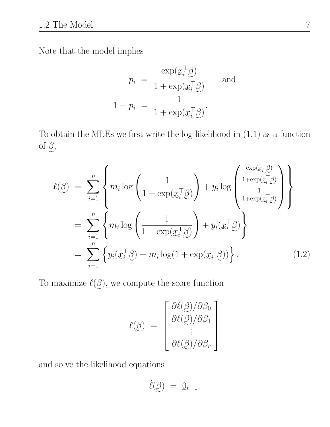Note that the model implies

$$
p_i = \frac{\exp(\underline{x}_i^{\top} \underline{\beta})}{1 + \exp(\underline{x}_i^{\top} \underline{\beta})}
$$
 and  

$$
1 - p_i = \frac{1}{1 + \exp(\underline{x}_i^{\top} \underline{\beta})}.
$$

e e To obtain the MLEs we first write the log-likelihood in (1.1) as a function of  $\beta$ ,

$$
\ell(\underline{\beta}) = \sum_{i=1}^{n} \left\{ m_i \log \left( \frac{1}{1 + \exp(\underline{x}_i^{\top} \underline{\beta})} \right) + y_i \log \left( \frac{\frac{\exp(\underline{x}_i^{\top} \underline{\beta})}{1 + \exp(\underline{x}_i^{\top} \underline{\beta})}}{\frac{1}{1 + \exp(\underline{x}_i^{\top} \underline{\beta})}} \right) \right\}
$$

$$
= \sum_{i=1}^{n} \left\{ m_i \log \left( \frac{1}{1 + \exp(\underline{x}_i^{\top} \underline{\beta})} \right) + y_i(\underline{x}_i^{\top} \underline{\beta}) \right\}
$$

$$
= \sum_{i=1}^{n} \left\{ y_i(\underline{x}_i^{\top} \underline{\beta}) - m_i \log(1 + \exp(\underline{x}_i^{\top} \underline{\beta})) \right\}.
$$
(1.2)

To maximize  $\ell(\beta)$ , we compute the score function

$$
\dot{\ell}(\underline{\beta}) = \begin{bmatrix} \frac{\partial \ell(\underline{\beta})}{\partial \beta_0} \\ \frac{\partial \ell(\underline{\beta})}{\partial \beta_1} \\ \vdots \\ \frac{\partial \ell(\underline{\beta})}{\partial \beta_r} \end{bmatrix}
$$

and solve the likelihood equations

$$
\dot{\ell}(\underline{\beta}) = \underline{0}_{r+1}.
$$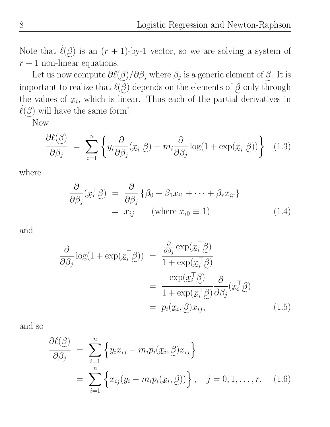Note that  $\dot{\ell}(\beta)$  is an  $(r + 1)$ -by-1 vector, so we are solving a system of  $r + 1$  non-linear equations.

Let us now compute  $\partial \ell(\beta)/\partial \beta_j$  where  $\beta_j$  is a generic element of  $\beta$ . It is important to realize that  $\ell(\underline{\beta})$  depends on the elements of  $\underline{\beta}$  only through the values of  $x_i$ , which is linear. Thus each of the partial derivatives in  $\ell(\mathcal{G})$  will have the same form!

Now

$$
\frac{\partial \ell(\beta)}{\partial \beta_j} = \sum_{i=1}^n \left\{ y_i \frac{\partial}{\partial \beta_j} (\underline{x}_i^\top \underline{\beta}) - m_i \frac{\partial}{\partial \beta_j} \log(1 + \exp(\underline{x}_i^\top \underline{\beta})) \right\} \tag{1.3}
$$

where

$$
\frac{\partial}{\partial \beta_j} (x_i^\top \beta) = \frac{\partial}{\partial \beta_j} \{ \beta_0 + \beta_1 x_{i1} + \dots + \beta_r x_{ir} \}
$$
  
=  $x_{ij}$  (where  $x_{i0} \equiv 1$ ) (1.4)

and

$$
\frac{\partial}{\partial \beta_j} \log(1 + \exp(\underline{x}_i^\top \underline{\beta})) = \frac{\frac{\partial}{\partial \beta_j} \exp(\underline{x}_i^\top \underline{\beta})}{1 + \exp(\underline{x}_i^\top \underline{\beta})}
$$

$$
= \frac{\exp(\underline{x}_i^\top \underline{\beta})}{1 + \exp(\underline{x}_i^\top \underline{\beta})} \frac{\partial}{\partial \beta_j} (\underline{x}_i^\top \underline{\beta})
$$

$$
= p_i(\underline{x}_i, \underline{\beta}) x_{ij}, \tag{1.5}
$$

and so

$$
\frac{\partial \ell(\beta)}{\partial \beta_j} = \sum_{i=1}^n \left\{ y_i x_{ij} - m_i p_i(\underline{x}_i, \beta) x_{ij} \right\}
$$

$$
= \sum_{i=1}^n \left\{ x_{ij} (y_i - m_i p_i(\underline{x}_i, \beta)) \right\}, \quad j = 0, 1, \dots, r. \quad (1.6)
$$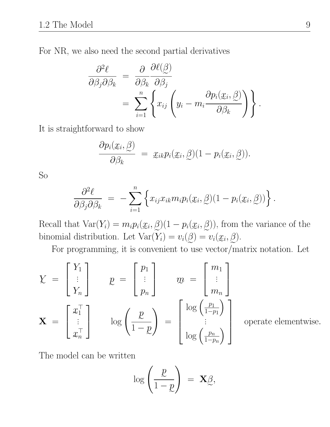For NR, we also need the second partial derivatives

$$
\frac{\partial^2 \ell}{\partial \beta_j \partial \beta_k} = \frac{\partial}{\partial \beta_k} \frac{\partial \ell(\beta)}{\partial \beta_j} \n= \sum_{i=1}^n \left\{ x_{ij} \left( y_i - m_i \frac{\partial p_i(\underline{x}_i, \beta)}{\partial \beta_k} \right) \right\}.
$$

It is straightforward to show

$$
\frac{\partial p_i(\underline{x}_i, \underline{\beta})}{\partial \beta_k} = \underline{x}_{ik} p_i(\underline{x}_i, \underline{\beta})(1 - p_i(\underline{x}_i, \underline{\beta})).
$$

So

$$
\frac{\partial^2 \ell}{\partial \beta_j \partial \beta_k} = - \sum_{i=1}^n \left\{ x_{ij} x_{ik} m_i p_i(\underline{x}_i, \underline{\beta})(1 - p_i(\underline{x}_i, \underline{\beta})) \right\}.
$$

Recall that  $Var(Y_i) = m_i p_i(\underline{x}_i, \underline{\beta})(1 - p_i(\underline{x}_i, \underline{\beta}))$ , from the variance of the binomial distribution. Let  $Var(Y_i) = v_i(\mathcal{Q}) = v_i(\mathcal{x}_i, \mathcal{Q})$ .

For programming, it is convenient to use vector/matrix notation. Let

$$
Y = \begin{bmatrix} Y_1 \\ \vdots \\ Y_n \end{bmatrix} \qquad p = \begin{bmatrix} p_1 \\ \vdots \\ p_n \end{bmatrix} \qquad m = \begin{bmatrix} m_1 \\ \vdots \\ m_n \end{bmatrix}
$$

$$
\mathbf{X} = \begin{bmatrix} x_1^{\top} \\ \vdots \\ x_n^{\top} \end{bmatrix} \qquad \log \left( \frac{p}{1-p} \right) = \begin{bmatrix} \log \left( \frac{p_1}{1-p_1} \right) \\ \vdots \\ \log \left( \frac{p_n}{1-p_n} \right) \end{bmatrix}
$$

operate elementwise.

The model can be written

$$
\log\left(\frac{p}{1-p}\right) = \mathbf{X}_{\mathcal{L}}^{\beta},
$$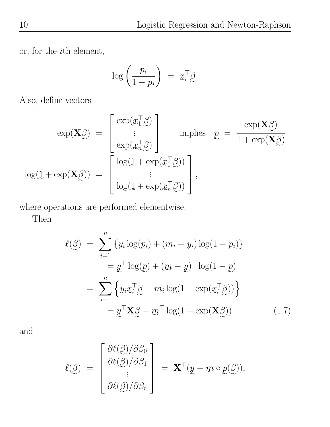or, for the  $i\mathrm{th}$  element,

$$
\log\left(\frac{p_i}{1-p_i}\right) \;=\; x_i^\top \underline{\beta}.
$$

Also, define vectors

$$
\exp(\mathbf{X}\hat{\beta}) = \begin{bmatrix} \exp(\mathbf{x}_1^{\top}\hat{\beta}) \\ \vdots \\ \exp(\mathbf{x}_n^{\top}\hat{\beta}) \end{bmatrix} \text{ implies } \underline{p} = \frac{\exp(\mathbf{X}\hat{\beta})}{1 + \exp(\mathbf{X}\hat{\beta})}
$$

$$
\log(\underline{1} + \exp(\mathbf{X}\hat{\beta})) = \begin{bmatrix} \log(1 + \exp(\mathbf{x}_1^{\top}\hat{\beta})) \\ \vdots \\ \log(1 + \exp(\mathbf{x}_n^{\top}\hat{\beta})) \end{bmatrix},
$$

e<br>Letters and the where operations are performed elementwise.

Then

$$
\ell(\beta) = \sum_{i=1}^{n} \{y_i \log(p_i) + (m_i - y_i) \log(1 - p_i)\}
$$
  
\n
$$
= \underline{y}^{\top} \log(\underline{p}) + (\underline{m} - \underline{y})^{\top} \log(1 - \underline{p})
$$
  
\n
$$
= \sum_{i=1}^{n} \{y_i \underline{x}_i^{\top} \underline{\beta} - m_i \log(1 + \exp(\underline{x}_i^{\top} \underline{\beta}))\}
$$
  
\n
$$
= \underline{y}^{\top} \mathbf{X} \underline{\beta} - \underline{m}^{\top} \log(1 + \exp(\mathbf{X} \underline{\beta}))
$$
(1.7)

and

$$
\dot{\ell}(\underline{\beta}) = \begin{bmatrix} \frac{\partial \ell(\underline{\beta})}{\partial \beta_0} \\ \frac{\partial \ell(\underline{\beta})}{\partial \beta_1} \\ \vdots \\ \frac{\partial \ell(\underline{\beta})}{\partial \beta_r} \end{bmatrix} = \mathbf{X}^{\top}(\underline{y} - \underline{m} \circ \underline{p}(\underline{\beta})),
$$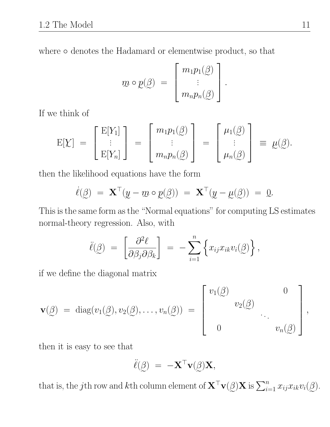where  $\circ$  denotes the Hadamard or elementwise product, so that

$$
m \circ p(\underline{\beta}) = \begin{bmatrix} m_1 p_1(\underline{\beta}) \\ \vdots \\ m_n p_n(\underline{\beta}) \end{bmatrix}.
$$

If we think of

$$
E[\underline{Y}] = \begin{bmatrix} E[Y_1] \\ \vdots \\ E[Y_n] \end{bmatrix} = \begin{bmatrix} m_1 p_1(\underline{\beta}) \\ \vdots \\ m_n p_n(\underline{\beta}) \end{bmatrix} = \begin{bmatrix} \mu_1(\underline{\beta}) \\ \vdots \\ \mu_n(\underline{\beta}) \end{bmatrix} \equiv \underline{\mu}(\underline{\beta}).
$$

then the likelihood equations have the form

$$
\dot{\ell}(\underline{\beta}) = \mathbf{X}^{\top}(\underline{y} - \underline{m} \circ \underline{p}(\underline{\beta})) = \mathbf{X}^{\top}(\underline{y} - \underline{\mu}(\underline{\beta})) = \underline{0}.
$$

ame form as the "Normal equations" for computing I This is the same form as the "Normal equations" for computing LS estimates normal-theory regression. Also, with

$$
\ddot{\ell}(\underline{\beta}) = \left[\frac{\partial^2 \ell}{\partial \beta_j \partial \beta_k}\right] = -\sum_{i=1}^n \left\{x_{ij}x_{ik}v_i(\underline{\beta})\right\},\,
$$

if we define the diagonal matrix

$$
\mathbf{v}(\underline{\beta}) = \text{diag}(v_1(\underline{\beta}), v_2(\underline{\beta}), \dots, v_n(\underline{\beta})) = \begin{bmatrix} v_1(\underline{\beta}) & 0 \\ v_2(\underline{\beta}) & \cdots \\ 0 & v_n(\underline{\beta}) \end{bmatrix},
$$

then it is easy to see that

$$
\ddot{\ell}(\underline{\beta}) = -\mathbf{X}^{\top}\mathbf{v}(\underline{\beta})\mathbf{X},
$$

that is, the jth row and kth column element of  $\mathbf{X}^{\top}\mathbf{v}(\mathbf{X})\mathbf{X}$  is  $\sum_{i=1}^{n} x_{ij}x_{ik}v_i(\mathbf{X})$ .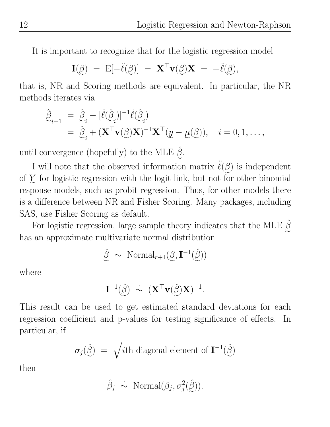It is important to recognize that for the logistic regression model

$$
\mathbf{I}(\mathbf{\beta}) = \mathbf{E}[-\ddot{\ell}(\mathbf{\beta})] = \mathbf{X}^{\top}\mathbf{v}(\mathbf{\beta})\mathbf{X} = -\ddot{\ell}(\mathbf{\beta}),
$$

that is, NR and Scoring methods are equivalent. In particular, the NR methods iterates via

$$
\hat{\beta}_{i+1} = \hat{\beta}_{i} - [\ddot{\ell}(\hat{\beta}_{i})]^{-1} \dot{\ell}(\hat{\beta}_{i}) \n= \hat{\beta}_{i} + (\mathbf{X}^{\top} \mathbf{v}(\hat{\beta}) \mathbf{X})^{-1} \mathbf{X}^{\top} (\underline{y} - \underline{\mu}(\hat{\beta})), \quad i = 0, 1, ...,
$$

until convergence (hopefully) to the MLE  $\hat{\beta}$ .

I will note that the observed information matrix  $\ddot{\ell}(\mathcal{G})$  is independent of  $Y$  for logistic regression with the logit link, but not for other binomial e response models, such as probit regression. Thus, for other models there is a difference between NR and Fisher Scoring. Many packages, including SAS, use Fisher Scoring as default.

For logistic regression, large sample theory indicates that the MLE  $\beta$ has an approximate multivariate normal distribution

$$
\hat{\mathcal{Q}} \ \dot{\sim} \ \text{Normal}_{r+1}(\mathcal{Q}, \mathbf{I}^{-1}(\hat{\mathcal{Q}}))
$$

where

$$
\mathbf{I}^{-1}(\hat{\mathbf{G}}) \ \sim \ (\mathbf{X}^{\top}\mathbf{v}(\hat{\mathbf{G}})\mathbf{X})^{-1}.
$$

This result can be used to get estimated standard deviations for each regression coefficient and p-values for testing significance of effects. In particular, if

$$
\sigma_j(\hat{\beta}) = \sqrt{i \text{th diagonal element of } \mathbf{I}^{-1}(\hat{\beta})}
$$

then

$$
\hat{\beta}_j \sim \text{Normal}(\beta_j, \sigma_j^2(\hat{\beta})).
$$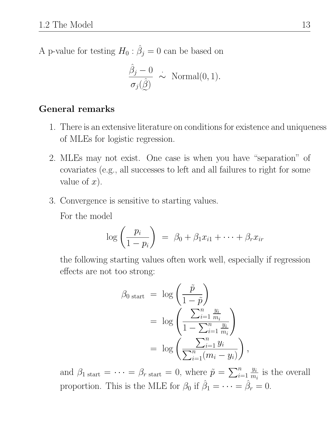A p-value for testing  $H_0: \hat{\beta}_j = 0$  can be based on

$$
\frac{\hat{\beta}_j - 0}{\sigma_j(\hat{\beta})} \; \sim \; \text{Normal}(0, 1).
$$

#### General remarks

- 1. There is an extensive literature on conditions for existence and uniqueness of MLEs for logistic regression.
- 2. MLEs may not exist. One case is when you have "separation" of covariates (e.g., all successes to left and all failures to right for some value of  $x$ ).
- 3. Convergence is sensitive to starting values.

For the model

$$
\log\left(\frac{p_i}{1-p_i}\right) = \beta_0 + \beta_1 x_{i1} + \dots + \beta_r x_{ir}
$$

the following starting values often work well, especially if regression effects are not too strong:

$$
\beta_{0 \text{ start}} = \log \left( \frac{\tilde{p}}{1 - \tilde{p}} \right)
$$
  
= 
$$
\log \left( \frac{\sum_{i=1}^{n} \frac{y_i}{m_i}}{1 - \sum_{i=1}^{n} \frac{y_i}{m_i}} \right)
$$
  
= 
$$
\log \left( \frac{\sum_{i=1}^{n} y_i}{\sum_{i=1}^{n} (m_i - y_i)} \right),
$$

and  $\beta_1$  start  $= \cdots = \beta_r$  start  $= 0$ , where  $\tilde{p} = \sum_{i=1}^n$  $y_i$  $\frac{y_i}{m_i}$  is the overall proportion. This is the MLE for  $\beta_0$  if  $\hat{\beta}_1 = \cdots = \hat{\beta}_r = 0$ .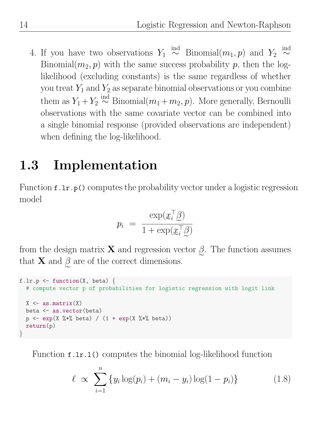4. If you have two observations  $Y_1 \stackrel{\text{ind}}{\sim}$  Binomial $(m_1, p)$  and  $Y_2 \stackrel{\text{ind}}{\sim}$ Binomial $(m_2, p)$  with the same success probability p, then the loglikelihood (excluding constants) is the same regardless of whether you treat  $Y_1$  and  $Y_2$  as separate binomial observations or you combine them as  $Y_1 + Y_2 \overset{\text{ind}}{\sim} \text{Binomial}(m_1 + m_2, p)$ . More generally, Bernoulli observations with the same covariate vector can be combined into a single binomial response (provided observations are independent) when defining the log-likelihood.

## 1.3 Implementation

Function f.lr.p() computes the probability vector under a logistic regression model

$$
p_i = \frac{\exp(\underline{x}_i^\top \underline{\beta})}{1 + \exp(\underline{x}_i^\top \underline{\beta})}
$$

from the design matrix **X** and regression vector  $\beta$ . The function assumes that **X** and  $\beta$  are of the correct dimensions.

```
f.lr.p \leftarrow function(X, beta) {
  # compute vector p of probabilities for logistic regression with logit link
  X \leftarrow \text{as matrix}(X)beta <- as.vector(beta)
  p \leftarrow \exp(X \ \text{%}) \ beta) / (1 + \exp(X \ \text{%}) \ beta))
  return(p)
}
```
Function f.lr.l() computes the binomial log-likelihood function

$$
\ell \propto \sum_{i=1}^{n} \{y_i \log(p_i) + (m_i - y_i) \log(1 - p_i) \}
$$
 (1.8)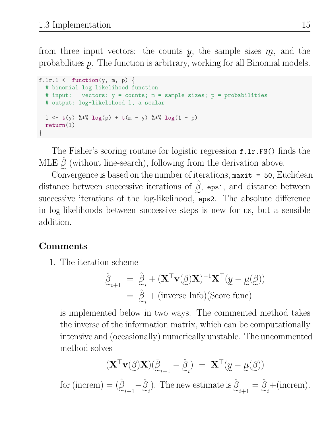from three input vectors: the counts y, the sample sizes  $m$ , and the probabilities  $p$ . The function is arbitrary, working for all Binomial models.

```
f.lr.l \leq function(y, m, p) {
 # binomial log likelihood function
 # input: vectors: y = counts; m = sample sizes; p = probabilities
 # output: log-likelihood l, a scalar
 1 \le - t(y) %*% log(p) + t(m - y) %*% log(1 - p)
 return(l)
}
```
The Fisher's scoring routine for logistic regression f.lr.FS() finds the MLE  $\hat{\beta}$  (without line-search), following from the derivation above.

Convergence is based on the number of iterations,  $\text{maxit} = 50$ , Euclidean distance between successive iterations of  $\hat{\beta}$ , eps1, and distance between successive iterations of the log-likelihood, eps2. The absolute difference in log-likelihoods between successive steps is new for us, but a sensible addition.

#### Comments

1. The iteration scheme

$$
\hat{\mathbf{\beta}}_{i+1} = \hat{\mathbf{\beta}}_i + (\mathbf{X}^\top \mathbf{v}(\mathbf{\beta})\mathbf{X})^{-1}\mathbf{X}^\top (\underline{y} - \underline{\mu}(\mathbf{\beta}))
$$
  
= 
$$
\hat{\mathbf{\beta}}_i + (\text{inverse Info})(\text{Score func})
$$

is implemented below in two ways. The commented method takes the inverse of the information matrix, which can be computationally intensive and (occasionally) numerically unstable. The uncommented method solves

$$
(\mathbf{X}^\top \mathbf{v}(\underline{\beta}) \mathbf{X}) (\hat{\underline{\beta}}_{i+1} - \hat{\underline{\beta}}_i) \ = \ \mathbf{X}^\top (\underline{y} - \underline{\mu}(\underline{\beta}))
$$

for (increm) =  $(\hat{\beta}_{\ldots}, -\hat{\beta}_{\ldots})$ . The new estimate is  $\hat{\beta}_{\ldots}$  =  $i+1$  $-\hat{\beta}$ i ). The new estimate is  $\hat{\beta}$  $i+1$  $=\hat{\beta}$ i  $+(increment).$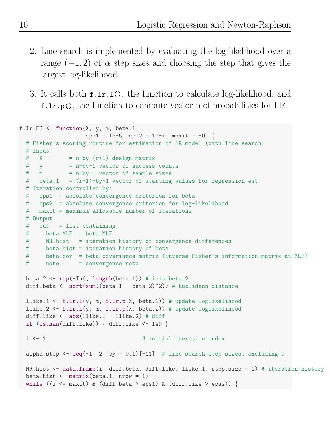- 2. Line search is implemented by evaluating the log-likelihood over a range  $(-1, 2)$  of  $\alpha$  step sizes and choosing the step that gives the largest log-likelihood.
- 3. It calls both f.lr.l(), the function to calculate log-likelihood, and f.lr.p(), the function to compute vector p of probabilities for LR.

```
f.lr.FS <- function(X, y, m, beta.1
                 , eps1 = 1e-6, eps2 = 1e-7, maxit = 50) {
  # Fisher's scoring routine for estimation of LR model (with line search)
  # Input:
  \# X = n-by-(r+1) design matrix
  # y = n-by-1 vector of success counts
  # \t m = n-by-1 vector of sample sizes# beta.1 = (r+1)-by-1 vector of starting values for regression est
  # Iteration controlled by:
  # eps1 = absolute convergence criterion for beta
  # eps2 = absolute convergence criterion for log-likelihood
  # maxit = maximum allowable number of iterations
  # Output:
  # out = list containing:
  # beta.MLE = beta MLE
  # NR.hist = iteration history of convergence differences
  # beta.hist = iteration history of beta
  # beta.cov = beta covariance matrix (inverse Fisher's information matrix at MLE)
  # note = convergence note
 beta.2 \leftarrow rep(-Inf, length(beta.1)) # init beta.2
  diff.beta \leq sqrt(sum((beta.1 - beta.2)^2)) # Euclidean distance
 llike.1 <- f.lr.l(y, m, f.lr.p(X, beta.1)) # update loglikelihood
 llike.2 \leftarrow f.lr.l(y, m, f.lr.p(X, beta.2)) # update loglikelihood
 diff.like \leq abs(llike.1 - llike.2) # diff
  if (is {\tt .nan(diff.like)) \{ diff.like <- 1e9 }\}i <- 1 \longrightarrow # initial iteration index
 alpha.step \leq seq(-1, 2, by = 0.1)[-11] # line search step sizes, excluding 0
 NR.hist <- data.frame(i, diff.beta, diff.like, llike.1, step.size = 1) # iteration history
 beta.hist \leq matrix(beta.1, nrow = 1)
  while ((i <= maxit) & (diff.beta > eps1) & (diff.like > eps2)) {
```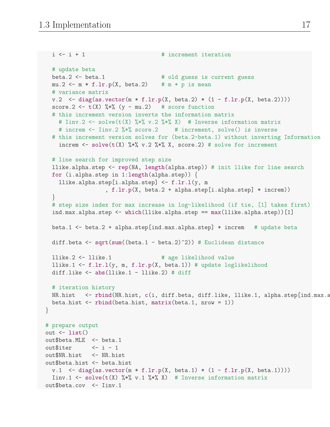```
i \leq i + 1 # increment iteration
  # update beta
  beta.2 <- beta.1 # old guess is current guess
 mu.2 \leq m * f.lr.p(X, beta.2) # m * p is mean
  # variance matrix
 v.2 \leq \text{diag}(as.vector(m * f.lr.p(X, beta.2) * (1 - f.lr.p(X, beta.2))))score.2 \leftarrow t(X) \frac{9*}{6} (y - mu.2) # score function
  # this increment version inverts the information matrix
    # Iinv.2 <- solve(t(X) %*% v.2 %*% X) # Inverse information matrix
   # increm <- Iinv.2 %*% score.2 # increment, solve() is inverse
  # this increment version solves for (beta.2-beta.1) without inverting Information
    increm <- solve(t(X) %*% v.2 %*% X, score.2) # solve for increment
  # line search for improved step size
  llike.alpha.step <- rep(NA, length(alpha.step)) # init llike for line search
  for (i.alpha.step in 1:length(alpha.step)) {
    llike.alpha.step[i.alpha.step] <- f.lr.l(y, m
                  , f.lr.p(X, beta.2 + alpha.step[i.alpha.step] * increm))
  }
  # step size index for max increase in log-likelihood (if tie, [1] takes first)
  ind.max.alpha.step <- which(llike.alpha.step == max(llike.alpha.step))[1]
  beta.1 \le beta.2 + alpha.step[ind.max.alpha.step] * increm # update beta
  diff.beta \leq sqrt(sum((beta.1 - beta.2)^2)) # Euclidean distance
 llike.2 <- llike.1 # age likelihood value
  llike.1 <- f.lr.l(y, m, f.lr.p(X, beta.1)) # update loglikelihood
  diff.like \leftarrow abs(llike.1 - llike.2) # diff
 # iteration history
 NR.hist <- rbind(NR.hist, c(i, diff.beta, diff.like, llike.1, alpha.step[ind.max.a
  beta.hist \le rbind(beta.hist, matrix(beta.1, nrow = 1))
}
# prepare output
out \leftarrow list()
out$beta.MLE <- beta.1
out$iter  \leftarrow i - 1out$NR.hist <- NR.hist
out$beta.hist <- beta.hist
 v.1 \leftarrow diag(as.vector(m * f.lr.p(X, beta.1) * (1 - f.lr.p(X, beta.1))))
  Iinv.1 <- solve(t(X) %*% v.1 %*% X) # Inverse information matrix
out$beta.cov <- Iinv.1
```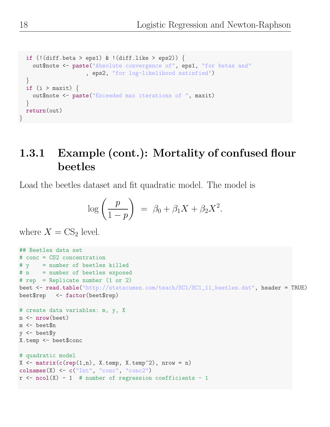```
if (! (diff. beta > eps1) & ! (diff. like > eps2)) {
   out$note <- paste("Absolute convergence of", eps1, "for betas and"
                    , eps2, "for log-likelihood satisfied")
 }
 if (i > maxit) {
   out$note <- paste("Exceeded max iterations of ", maxit)
 }
 return(out)
}
```
### 1.3.1 Example (cont.): Mortality of confused flour beetles

Load the beetles dataset and fit quadratic model. The model is

$$
\log\left(\frac{p}{1-p}\right) = \beta_0 + \beta_1 X + \beta_2 X^2.
$$

where  $X = CS_2$  level.

```
## Beetles data set
# conc = CS2 concentration
# y = number of beetles killed
# n = number of beetles exposed
# rep = Replicate number (1 or 2)
beet <- read.table("http://statacumen.com/teach/SC1/SC1_11_beetles.dat", header = TRUE)
beet$rep <- factor(beet$rep)
# create data variables: m, y, X
n <- nrow(beet)
m <- beet$n
y \le - beet yX.temp <- beet$conc
# quadratic model
X \leftarrow matrix(c(rep(1,n), X.temp, X.temp^2), nrow = n)\text{colnames}(X) \leftarrow c("Int", "conc", "conc2")r \leq ncol(X) - 1 # number of regression coefficients - 1
```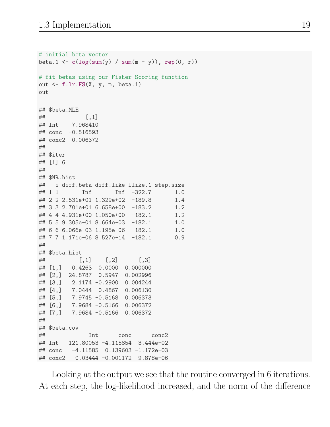```
# initial beta vector
beta.1 <- c(\log(sum(y) / sum(m - y)), rep(0, r))# fit betas using our Fisher Scoring function
out \leq f.lr.FS(X, y, m, beta.1)out
## $beta.MLE
\# [, 1]
## Int 7.968410
\## conc -0.516593## conc2 0.006372
##
## $iter
## [1] 6
##
## $NR.hist
## i diff.beta diff.like llike.1 step.size
## 1 1 Inf Inf -322.7 1.0
## 2 2 2.531e+01 1.329e+02 -189.8 1.4
## 3 3 2.701e+01 6.658e+00 -183.2 1.2
## 4 4 4.931e+00 1.050e+00 -182.1 1.2
## 5 5 9.305e-01 8.664e-03 -182.1 1.0
## 6 6 6.066e-03 1.195e-06 -182.1 1.0
## 7 7 1.171e-06 8.527e-14 -182.1 0.9
##
## $beta.hist
\sharp\sharp [,1] [,2] [,3]
## [1,] 0.4263 0.0000 0.000000
## [2,] -24.8787 0.5947 -0.002996
## [3,] 2.1174 -0.2900 0.004244
## [4,] 7.0444 -0.4867 0.006130
## [5,] 7.9745 -0.5168 0.006373
## [6,] 7.9684 -0.5166 0.006372
## [7,] 7.9684 -0.5166 0.006372
##
## $beta.cov
## Int conc conc2
## Int 121.80053 -4.115854 3.444e-02
## conc -4.11585 0.139603 -1.172e-03
## conc2 0.03444 -0.001172 9.878e-06
```
Looking at the output we see that the routine converged in 6 iterations. At each step, the log-likelihood increased, and the norm of the difference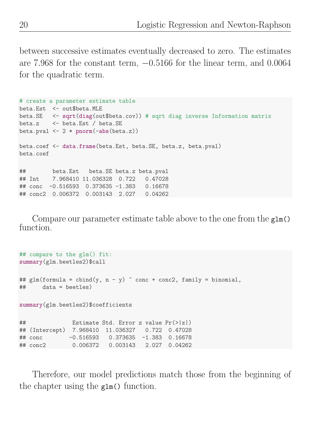between successive estimates eventually decreased to zero. The estimates are 7.968 for the constant term,  $-0.5166$  for the linear term, and 0.0064 for the quadratic term.

```
# create a parameter estimate table
beta.Est <- out$beta.MLE
beta.SE <- sqrt(diag(out$beta.cov)) # sqrt diag inverse Information matrix
beta.z <- beta.Est / beta.SE
beta.pval \leq 2 * \text{pnorm}(-\text{abs}(\text{beta}.z))beta.coef <- data.frame(beta.Est, beta.SE, beta.z, beta.pval)
beta.coef
## beta.Est beta.SE beta.z beta.pval
## Int 7.968410 11.036328 0.722 0.47028
## conc -0.516593 0.373635 -1.383 0.16678
## conc2 0.006372 0.003143 2.027 0.04262
```
Compare our parameter estimate table above to the one from the glm() function.

```
## compare to the glm() fit:
summary(glm.beetles2)$call
## glm(formula = cbind(y, n - y) \tilde{ } conc + conc2, family = binomial,
## data = beetles)
summary(glm.beetles2)$coefficients
## Estimate Std. Error z value Pr(>|z|)
## (Intercept) 7.968410 11.036327 0.722 0.47028
## conc -0.516593 0.373635 -1.383 0.16678
## conc2 0.006372 0.003143 2.027 0.04262
```
Therefore, our model predictions match those from the beginning of the chapter using the glm() function.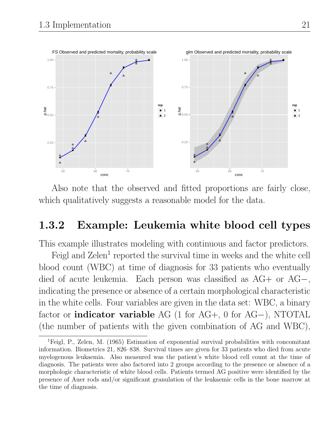

Also note that the observed and fitted proportions are fairly close, which qualitatively suggests a reasonable model for the data.

#### 1.3.2 Example: Leukemia white blood cell types

This example illustrates modeling with continuous and factor predictors.

Feigl and  $\text{Zelen}^1$  reported the survival time in weeks and the white cell blood count (WBC) at time of diagnosis for 33 patients who eventually died of acute leukemia. Each person was classified as AG+ or AG−, indicating the presence or absence of a certain morphological characteristic in the white cells. Four variables are given in the data set: WBC, a binary factor or indicator variable AG (1 for AG+, 0 for AG−), NTOTAL (the number of patients with the given combination of AG and WBC),

<sup>1</sup>Feigl, P., Zelen, M. (1965) Estimation of exponential survival probabilities with concomitant information. Biometrics 21, 826–838. Survival times are given for 33 patients who died from acute myelogenous leukaemia. Also measured was the patient's white blood cell count at the time of diagnosis. The patients were also factored into 2 groups according to the presence or absence of a morphologic characteristic of white blood cells. Patients termed AG positive were identified by the presence of Auer rods and/or significant granulation of the leukaemic cells in the bone marrow at the time of diagnosis.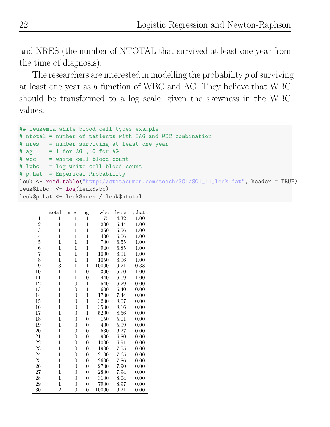and NRES (the number of NTOTAL that survived at least one year from the time of diagnosis).

The researchers are interested in modelling the probability  $p$  of surviving at least one year as a function of WBC and AG. They believe that WBC should be transformed to a log scale, given the skewness in the WBC values.

```
## Leukemia white blood cell types example
# ntotal = number of patients with IAG and WBC combination
# nres = number surviving at least one year
# ag = 1 for AG+, 0 for AG-
# wbc = white cell blood count
# lwbc = log white cell blood count
# p.hat = Emperical Probability
leuk <- read.table("http://statacumen.com/teach/SC1/SC1_11_leuk.dat", header = TRUE)
leuk$lwbc <- log(leuk$wbc)
leuk$p.hat <- leuk$nres / leuk$ntotal
```

|                | $_{\rm{ntotal}}$ | nres             | ag               | $_{\rm wbc}$    | lwbc | $_{\rm p. hat}$   |
|----------------|------------------|------------------|------------------|-----------------|------|-------------------|
| $\overline{1}$ | $\overline{1}$   | $\overline{1}$   | $\overline{1}$   | $\overline{75}$ | 4.32 | $\overline{1.00}$ |
| $\overline{c}$ | $\mathbf{1}$     | $\mathbf 1$      | $\mathbf 1$      | 230             | 5.44 | 1.00              |
| 3              | $\mathbf{1}$     | $\mathbf{1}$     | $\overline{1}$   | 260             | 5.56 | 1.00              |
| $\overline{4}$ | $\overline{1}$   | $\mathbf{1}$     | $\overline{1}$   | 430             | 6.06 | 1.00              |
| $\overline{5}$ | 1                | $\mathbf 1$      | $\mathbf{1}$     | 700             | 6.55 | 1.00              |
| 6              | $\mathbf{1}$     | $\mathbf 1$      | $\mathbf{1}$     | 940             | 6.85 | 1.00              |
| 7              | $\mathbf{1}$     | 1                | $\mathbf{1}$     | 1000            | 6.91 | 1.00              |
| 8              | $\mathbf{1}$     | $\mathbf 1$      | $\mathbf{1}$     | 1050            | 6.96 | 1.00              |
| 9              | 3                | $\mathbf 1$      | $\mathbf{1}$     | 10000           | 9.21 | 0.33              |
| 10             | 1                | $\mathbf 1$      | $\overline{0}$   | 300             | 5.70 | 1.00              |
| 11             | $\mathbf{1}$     | $\mathbf{1}$     | $\boldsymbol{0}$ | 440             | 6.09 | 1.00              |
| 12             | $\mathbf{1}$     | $\boldsymbol{0}$ | 1                | 540             | 6.29 | 0.00              |
| 13             | $\mathbf{1}$     | $\overline{0}$   | $\mathbf{1}$     | 600             | 6.40 | 0.00              |
| 14             | $\mathbf{1}$     | $\overline{0}$   | $\mathbf{1}$     | 1700            | 7.44 | 0.00              |
| 15             | $\mathbf{1}$     | $\boldsymbol{0}$ | $\mathbf{1}$     | 3200            | 8.07 | 0.00              |
| 16             | $\mathbf{1}$     | $\boldsymbol{0}$ | $\mathbf 1$      | 3500            | 8.16 | 0.00              |
| 17             | $\mathbf{1}$     | $\boldsymbol{0}$ | $\mathbf{1}$     | 5200            | 8.56 | 0.00              |
| 18             | $\mathbf{1}$     | $\overline{0}$   | $\boldsymbol{0}$ | 150             | 5.01 | 0.00              |
| 19             | $\mathbf{1}$     | $\overline{0}$   | $\overline{0}$   | 400             | 5.99 | 0.00              |
| 20             | 1                | $\overline{0}$   | $\overline{0}$   | 530             | 6.27 | 0.00              |
| 21             | $\mathbf{1}$     | $\overline{0}$   | $\overline{0}$   | 900             | 6.80 | 0.00              |
| 22             | $\mathbf{1}$     | $\boldsymbol{0}$ | $\overline{0}$   | 1000            | 6.91 | 0.00              |
| 23             | $\mathbf{1}$     | $\overline{0}$   | $\boldsymbol{0}$ | 1900            | 7.55 | 0.00              |
| 24             | $\mathbf{1}$     | $\boldsymbol{0}$ | $\overline{0}$   | 2100            | 7.65 | 0.00              |
| 25             | 1                | $\boldsymbol{0}$ | $\overline{0}$   | 2600            | 7.86 | 0.00              |
| 26             | $\mathbf{1}$     | $\boldsymbol{0}$ | $\boldsymbol{0}$ | 2700            | 7.90 | 0.00              |
| 27             | $\mathbf{1}$     | $\overline{0}$   | $\overline{0}$   | 2800            | 7.94 | 0.00              |
| 28             | $\mathbf{1}$     | $\overline{0}$   | $\overline{0}$   | 3100            | 8.04 | 0.00              |
| 29             | $\mathbf{1}$     | $\boldsymbol{0}$ | $\boldsymbol{0}$ | 7900            | 8.97 | 0.00              |
| 30             | $\overline{2}$   | $\boldsymbol{0}$ | $\overline{0}$   | 10000           | 9.21 | 0.00              |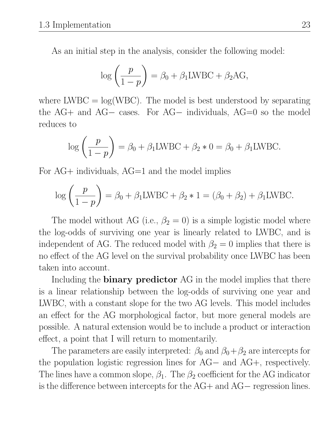As an initial step in the analysis, consider the following model:

$$
\log\left(\frac{p}{1-p}\right) = \beta_0 + \beta_1 \text{LWBC} + \beta_2 \text{AG},
$$

where  $LWBC = \log(WBC)$ . The model is best understood by separating the AG+ and AG− cases. For AG− individuals, AG=0 so the model reduces to

$$
\log\left(\frac{p}{1-p}\right) = \beta_0 + \beta_1 \text{LWBC} + \beta_2 * 0 = \beta_0 + \beta_1 \text{LWBC}.
$$

For AG+ individuals, AG=1 and the model implies

$$
\log\left(\frac{p}{1-p}\right) = \beta_0 + \beta_1 \text{LWBC} + \beta_2 * 1 = (\beta_0 + \beta_2) + \beta_1 \text{LWBC}.
$$

The model without AG (i.e.,  $\beta_2 = 0$ ) is a simple logistic model where the log-odds of surviving one year is linearly related to LWBC, and is independent of AG. The reduced model with  $\beta_2 = 0$  implies that there is no effect of the AG level on the survival probability once LWBC has been taken into account.

Including the **binary predictor** AG in the model implies that there is a linear relationship between the log-odds of surviving one year and LWBC, with a constant slope for the two AG levels. This model includes an effect for the AG morphological factor, but more general models are possible. A natural extension would be to include a product or interaction effect, a point that I will return to momentarily.

The parameters are easily interpreted:  $\beta_0$  and  $\beta_0 + \beta_2$  are intercepts for the population logistic regression lines for AG− and AG+, respectively. The lines have a common slope,  $\beta_1$ . The  $\beta_2$  coefficient for the AG indicator is the difference between intercepts for the AG+ and AG− regression lines.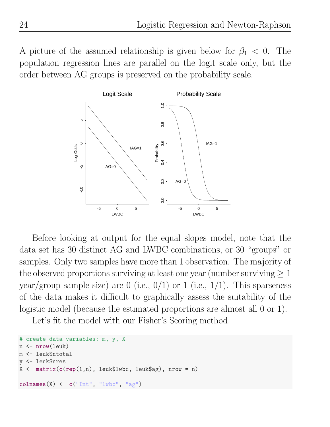A picture of the assumed relationship is given below for  $\beta_1 < 0$ . The population regression lines are parallel on the logit scale only, but the order between AG groups is preserved on the probability scale.



Before looking at output for the equal slopes model, note that the data set has 30 distinct AG and LWBC combinations, or 30 "groups" or samples. Only two samples have more than 1 observation. The majority of the observed proportions surviving at least one year (number surviving  $\geq 1$ ) year/group sample size) are 0 (i.e.,  $0/1$ ) or 1 (i.e.,  $1/1$ ). This sparseness of the data makes it difficult to graphically assess the suitability of the logistic model (because the estimated proportions are almost all 0 or 1).

Let's fit the model with our Fisher's Scoring method.

```
# create data variables: m, y, X
n <- nrow(leuk)
m <- leuk$ntotal
y <- leuk$nres
X \leftarrow matrix(c(rep(1,n), \text{leuk$1wbc}, \text{leuk$a}g), nrow = n)colnames(X) <- c("Int", "lwbc", "ag")
```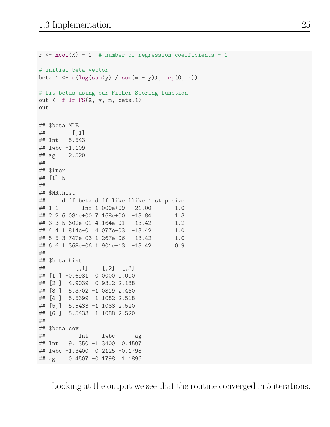```
r <- ncol(X) - 1 # number of regression coefficients - 1
# initial beta vector
beta.1 <- c(\log(sum(y) / sum(m - y)), rep(0, r))# fit betas using our Fisher Scoring function
out \leq f.lr.FS(X, y, m, beta.1)out
## $beta.MLE
## [,1]
## Int 5.543
## lwbc -1.109
## ag 2.520
##
## $iter
## [1] 5
##
## $NR.hist
## i diff.beta diff.like llike.1 step.size
## 1 1 Inf 1.000e+09 -21.00 1.0
## 2 2 6.081e+00 7.168e+00 -13.84 1.3
## 3 3 5.602e-01 4.164e-01 -13.42 1.2
## 4 4 1.814e-01 4.077e-03 -13.42 1.0
## 5 5 3.747e-03 1.267e-06 -13.42 1.0
## 6 6 1.368e-06 1.901e-13 -13.42 0.9
##
## $beta.hist
## [,1] [,2] [,3]
## [1,] -0.6931 0.0000 0.000
## [2,] 4.9039 -0.9312 2.188
## [3,] 5.3702 -1.0819 2.460
## [4,] 5.5399 -1.1082 2.518
## [5,] 5.5433 -1.1088 2.520
## [6,] 5.5433 -1.1088 2.520
##
## $beta.cov
## Int lwbc ag
## Int 9.1350 -1.3400 0.4507
## lwbc -1.3400 0.2125 -0.1798
## ag 0.4507 -0.1798 1.1896
```
Looking at the output we see that the routine converged in 5 iterations.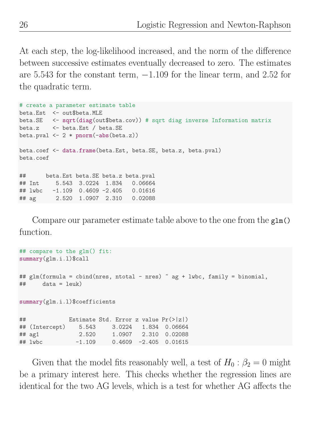At each step, the log-likelihood increased, and the norm of the difference between successive estimates eventually decreased to zero. The estimates are 5.543 for the constant term,  $-1.109$  for the linear term, and 2.52 for the quadratic term.

```
# create a parameter estimate table
beta.Est <- out$beta.MLE
beta.SE <- sqrt(diag(out$beta.cov)) # sqrt diag inverse Information matrix
beta.z <- beta.Est / beta.SE
beta.pval \leq 2 * \text{norm}(-\text{abs}(\text{beta}.z))beta.coef <- data.frame(beta.Est, beta.SE, beta.z, beta.pval)
beta.coef
## beta.Est beta.SE beta.z beta.pval
## Int 5.543 3.0224 1.834 0.06664
## lwbc -1.109 0.4609 -2.405 0.01616
## ag 2.520 1.0907 2.310 0.02088
```
Compare our parameter estimate table above to the one from the glm() function.

```
## compare to the glm() fit:
summary(glm.i.l)$call
## glm(formula = cbind(nres, ntotal - nres) ~ ag + lwbc, family = binomial,
\## data = leuk)
summary(glm.i.l)$coefficients
## Estimate Std. Error z value Pr(>|z|)
## (Intercept) 5.543 3.0224 1.834 0.06664
## ag1 2.520 1.0907 2.310 0.02088
## lwbc -1.109 0.4609 -2.405 0.01615
```
Given that the model fits reasonably well, a test of  $H_0: \beta_2 = 0$  might be a primary interest here. This checks whether the regression lines are identical for the two AG levels, which is a test for whether AG affects the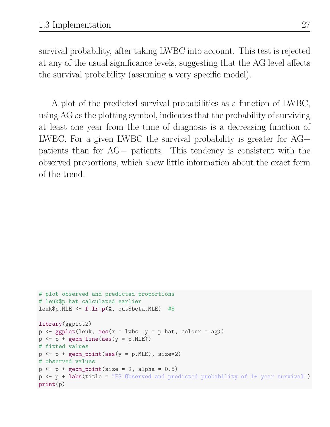survival probability, after taking LWBC into account. This test is rejected at any of the usual significance levels, suggesting that the AG level affects the survival probability (assuming a very specific model).

A plot of the predicted survival probabilities as a function of LWBC, using AG as the plotting symbol, indicates that the probability of surviving at least one year from the time of diagnosis is a decreasing function of LWBC. For a given LWBC the survival probability is greater for AG+ patients than for AG− patients. This tendency is consistent with the observed proportions, which show little information about the exact form of the trend.

```
# plot observed and predicted proportions
# leuk$p.hat calculated earlier
leuk$p.MLE <- f.lr.p(X, out$beta.MLE) #$
library(ggplot2)
p \leftarrow \text{ggplot}(\text{leuk}, \text{aes}(x = \text{lwbc}, y = p.\text{hat}, \text{colour} = \text{ag}))p \leftarrow p + \text{geom\_line}(aes(y = p.MLE))# fitted values
p \leftarrow p + \text{geom\_point}(aes(y = p.MLE), size=2)# observed values
p \leftarrow p + \text{geom\_point}(size = 2, alpha = 0.5)
p <- p + labs(title = "FS Observed and predicted probability of 1+ year survival")
print(p)
```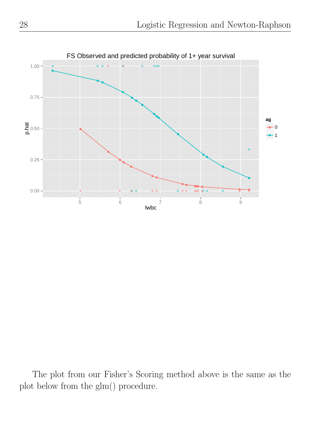

The plot from our Fisher's Scoring method above is the same as the plot below from the glm() procedure.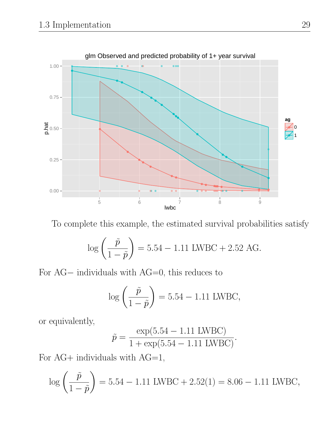

To complete this example, the estimated survival probabilities satisfy

$$
\log\left(\frac{\tilde{p}}{1-\tilde{p}}\right) = 5.54 - 1.11 \text{ LWBC} + 2.52 \text{ AG}.
$$

For AG− individuals with AG=0, this reduces to

$$
\log\left(\frac{\tilde{p}}{1-\tilde{p}}\right) = 5.54 - 1.11
$$
 LWBC,

or equivalently,

$$
\tilde{p} = \frac{\exp(5.54 - 1.11 \text{ LWBC})}{1 + \exp(5.54 - 1.11 \text{ LWBC})}.
$$

For AG+ individuals with  $AG=1$ ,

$$
\log\left(\frac{\tilde{p}}{1-\tilde{p}}\right) = 5.54 - 1.11 \text{ LWBC} + 2.52(1) = 8.06 - 1.11 \text{ LWBC},
$$